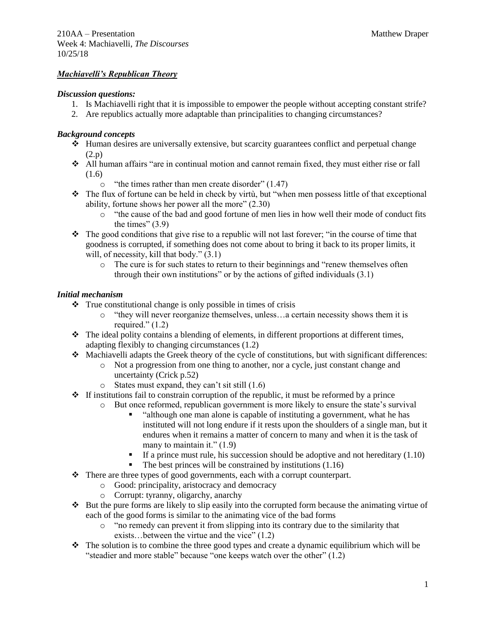# *Machiavelli's Republican Theory*

#### *Discussion questions:*

- 1. Is Machiavelli right that it is impossible to empower the people without accepting constant strife?
- 2. Are republics actually more adaptable than principalities to changing circumstances?

#### *Background concepts*

- ❖ Human desires are universally extensive, but scarcity guarantees conflict and perpetual change (2.p)
- ❖ All human affairs "are in continual motion and cannot remain fixed, they must either rise or fall (1.6)
	- o "the times rather than men create disorder" (1.47)
- ❖ The flux of fortune can be held in check by virtù, but "when men possess little of that exceptional ability, fortune shows her power all the more" (2.30)
	- o "the cause of the bad and good fortune of men lies in how well their mode of conduct fits the times"  $(3.9)$
- ❖ The good conditions that give rise to a republic will not last forever; "in the course of time that goodness is corrupted, if something does not come about to bring it back to its proper limits, it will, of necessity, kill that body."  $(3.1)$ 
	- $\circ$  The cure is for such states to return to their beginnings and "renew themselves often through their own institutions" or by the actions of gifted individuals (3.1)

### *Initial mechanism*

- ❖ True constitutional change is only possible in times of crisis
	- o "they will never reorganize themselves, unless…a certain necessity shows them it is required."  $(1.2)$
- ❖ The ideal polity contains a blending of elements, in different proportions at different times, adapting flexibly to changing circumstances (1.2)
- ❖ Machiavelli adapts the Greek theory of the cycle of constitutions, but with significant differences:
	- o Not a progression from one thing to another, nor a cycle, just constant change and uncertainty (Crick p.52)
	- $\circ$  States must expand, they can't sit still  $(1.6)$
- $\div$  If institutions fail to constrain corruption of the republic, it must be reformed by a prince
	- o But once reformed, republican government is more likely to ensure the state's survival
		- "although one man alone is capable of instituting a government, what he has instituted will not long endure if it rests upon the shoulders of a single man, but it endures when it remains a matter of concern to many and when it is the task of many to maintain it."  $(1.9)$
		- If a prince must rule, his succession should be adoptive and not hereditary  $(1.10)$
		- The best princes will be constrained by institutions  $(1.16)$
- ❖ There are three types of good governments, each with a corrupt counterpart.
	- o Good: principality, aristocracy and democracy
	- o Corrupt: tyranny, oligarchy, anarchy
- ❖ But the pure forms are likely to slip easily into the corrupted form because the animating virtue of each of the good forms is similar to the animating vice of the bad forms
	- $\circ$  "no remedy can prevent it from slipping into its contrary due to the similarity that exists…between the virtue and the vice" (1.2)
- ❖ The solution is to combine the three good types and create a dynamic equilibrium which will be "steadier and more stable" because "one keeps watch over the other" (1.2)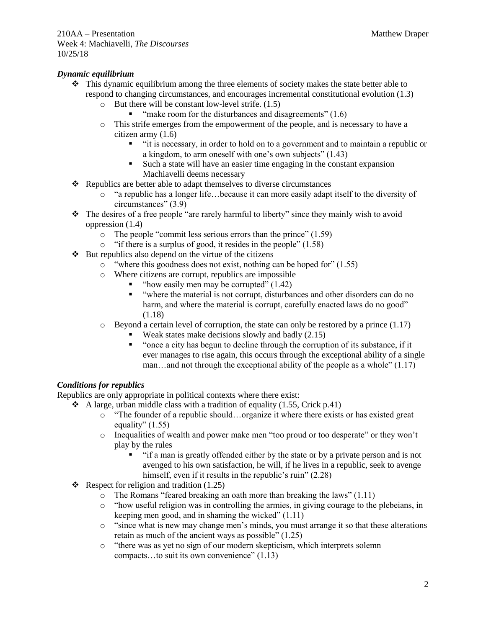# *Dynamic equilibrium*

- ❖ This dynamic equilibrium among the three elements of society makes the state better able to respond to changing circumstances, and encourages incremental constitutional evolution (1.3)
	- o But there will be constant low-level strife. (1.5)
		- "make room for the disturbances and disagreements"  $(1.6)$
	- o This strife emerges from the empowerment of the people, and is necessary to have a citizen army (1.6)
		- "it is necessary, in order to hold on to a government and to maintain a republic or a kingdom, to arm oneself with one's own subjects" (1.43)
		- Such a state will have an easier time engaging in the constant expansion Machiavelli deems necessary
- ❖ Republics are better able to adapt themselves to diverse circumstances
	- o "a republic has a longer life…because it can more easily adapt itself to the diversity of circumstances" (3.9)
- ❖ The desires of a free people "are rarely harmful to liberty" since they mainly wish to avoid oppression (1.4)
	- o The people "commit less serious errors than the prince" (1.59)
	- o "if there is a surplus of good, it resides in the people" (1.58)
- ❖ But republics also depend on the virtue of the citizens
	- o "where this goodness does not exist, nothing can be hoped for" (1.55)
	- o Where citizens are corrupt, republics are impossible
		- $\blacksquare$  "how easily men may be corrupted" (1.42)
		- "where the material is not corrupt, disturbances and other disorders can do no harm, and where the material is corrupt, carefully enacted laws do no good" (1.18)
	- $\circ$  Beyond a certain level of corruption, the state can only be restored by a prince (1.17)
		- Weak states make decisions slowly and badly  $(2.15)$ 
			- "once a city has begun to decline through the corruption of its substance, if it ever manages to rise again, this occurs through the exceptional ability of a single man…and not through the exceptional ability of the people as a whole" (1.17)

# *Conditions for republics*

Republics are only appropriate in political contexts where there exist:

- $\triangleleft$  A large, urban middle class with a tradition of equality (1.55, Crick p.41)
	- o "The founder of a republic should…organize it where there exists or has existed great equality"  $(1.55)$
	- o Inequalities of wealth and power make men "too proud or too desperate" or they won't play by the rules
		- "if a man is greatly offended either by the state or by a private person and is not avenged to his own satisfaction, he will, if he lives in a republic, seek to avenge himself, even if it results in the republic's ruin" (2.28)
- ❖ Respect for religion and tradition (1.25)
	- o The Romans "feared breaking an oath more than breaking the laws" (1.11)
	- o "how useful religion was in controlling the armies, in giving courage to the plebeians, in keeping men good, and in shaming the wicked" (1.11)
	- o "since what is new may change men's minds, you must arrange it so that these alterations retain as much of the ancient ways as possible" (1.25)
	- o "there was as yet no sign of our modern skepticism, which interprets solemn compacts…to suit its own convenience" (1.13)